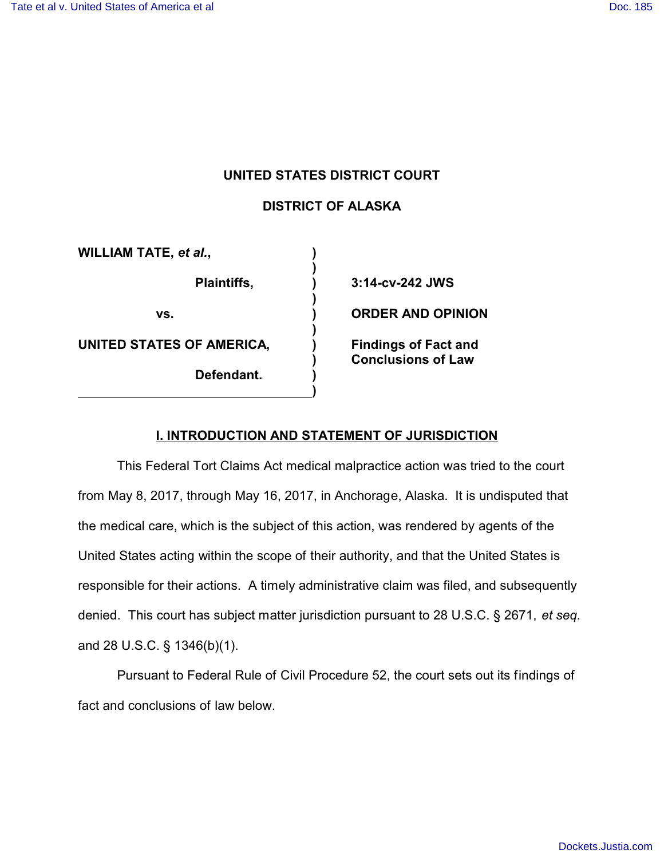# **UNITED STATES DISTRICT COURT**

# **DISTRICT OF ALASKA**

**)**

**)**

**)**

**)**

**WILLIAM TATE,** *et al.***, ) UNITED STATES OF AMERICA, ) Findings of Fact and** 

**Defendant. )**

**Plaintiffs, ) 3:14-cv-242 JWS vs. ) ORDER AND OPINION ) Conclusions of Law**

## **I. INTRODUCTION AND STATEMENT OF JURISDICTION**

This Federal Tort Claims Act medical malpractice action was tried to the court from May 8, 2017, through May 16, 2017, in Anchorage, Alaska. It is undisputed that the medical care, which is the subject of this action, was rendered by agents of the United States acting within the scope of their authority, and that the United States is responsible for their actions. A timely administrative claim was filed, and subsequently denied. This court has subject matter jurisdiction pursuant to 28 U.S.C. § 2671, *et seq.* and 28 U.S.C. § 1346(b)(1).

Pursuant to Federal Rule of Civil Procedure 52, the court sets out its findings of fact and conclusions of law below.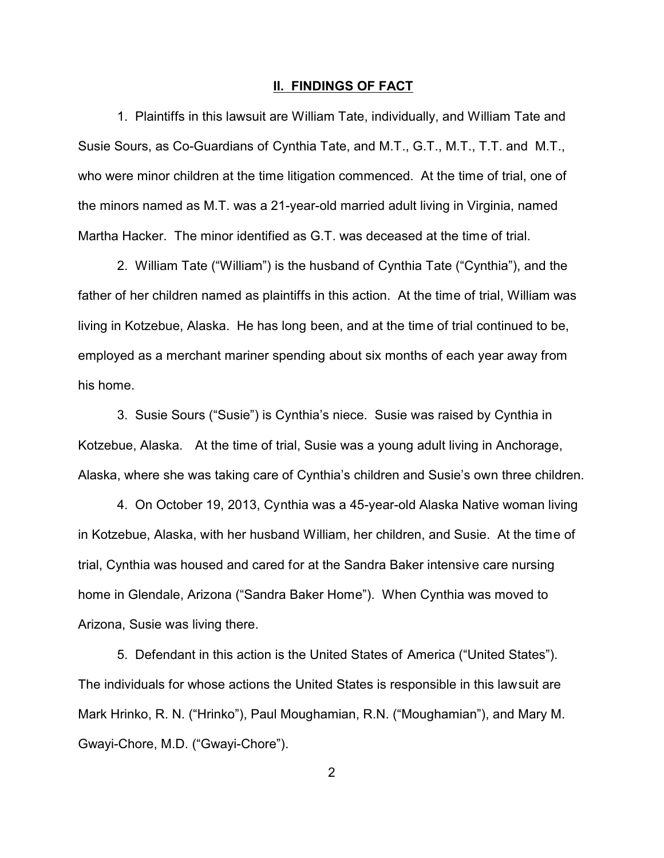#### **II. FINDINGS OF FACT**

1. Plaintiffs in this lawsuit are William Tate, individually, and William Tate and Susie Sours, as Co-Guardians of Cynthia Tate, and M.T., G.T., M.T., T.T. and M.T., who were minor children at the time litigation commenced. At the time of trial, one of the minors named as M.T. was a 21-year-old married adult living in Virginia, named Martha Hacker. The minor identified as G.T. was deceased at the time of trial.

2. William Tate ("William") is the husband of Cynthia Tate ("Cynthia"), and the father of her children named as plaintiffs in this action. At the time of trial, William was living in Kotzebue, Alaska. He has long been, and at the time of trial continued to be, employed as a merchant mariner spending about six months of each year away from his home.

3. Susie Sours ("Susie") is Cynthia's niece. Susie was raised by Cynthia in Kotzebue, Alaska. At the time of trial, Susie was a young adult living in Anchorage, Alaska, where she was taking care of Cynthia's children and Susie's own three children.

4. On October 19, 2013, Cynthia was a 45-year-old Alaska Native woman living in Kotzebue, Alaska, with her husband William, her children, and Susie. At the time of trial, Cynthia was housed and cared for at the Sandra Baker intensive care nursing home in Glendale, Arizona ("Sandra Baker Home"). When Cynthia was moved to Arizona, Susie was living there.

5. Defendant in this action is the United States of America ("United States"). The individuals for whose actions the United States is responsible in this lawsuit are Mark Hrinko, R. N. ("Hrinko"), Paul Moughamian, R.N. ("Moughamian"), and Mary M. Gwayi-Chore, M.D. ("Gwayi-Chore").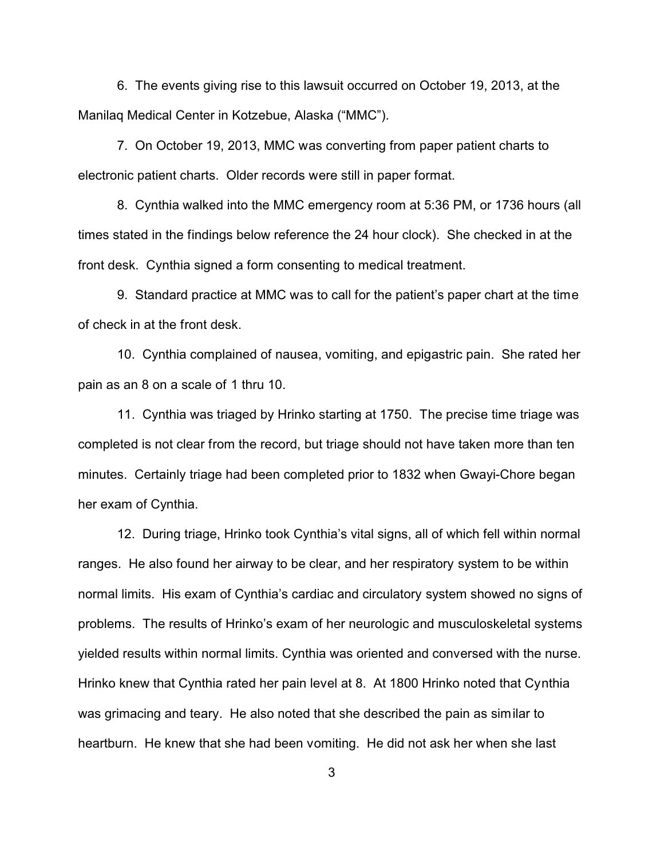6. The events giving rise to this lawsuit occurred on October 19, 2013, at the Manilaq Medical Center in Kotzebue, Alaska ("MMC").

7. On October 19, 2013, MMC was converting from paper patient charts to electronic patient charts. Older records were still in paper format.

8. Cynthia walked into the MMC emergency room at 5:36 PM, or 1736 hours (all times stated in the findings below reference the 24 hour clock). She checked in at the front desk. Cynthia signed a form consenting to medical treatment.

9. Standard practice at MMC was to call for the patient's paper chart at the time of check in at the front desk.

10. Cynthia complained of nausea, vomiting, and epigastric pain. She rated her pain as an 8 on a scale of 1 thru 10.

11. Cynthia was triaged by Hrinko starting at 1750. The precise time triage was completed is not clear from the record, but triage should not have taken more than ten minutes. Certainly triage had been completed prior to 1832 when Gwayi-Chore began her exam of Cynthia.

12. During triage, Hrinko took Cynthia's vital signs, all of which fell within normal ranges. He also found her airway to be clear, and her respiratory system to be within normal limits. His exam of Cynthia's cardiac and circulatory system showed no signs of problems. The results of Hrinko's exam of her neurologic and musculoskeletal systems yielded results within normal limits. Cynthia was oriented and conversed with the nurse. Hrinko knew that Cynthia rated her pain level at 8. At 1800 Hrinko noted that Cynthia was grimacing and teary. He also noted that she described the pain as similar to heartburn. He knew that she had been vomiting. He did not ask her when she last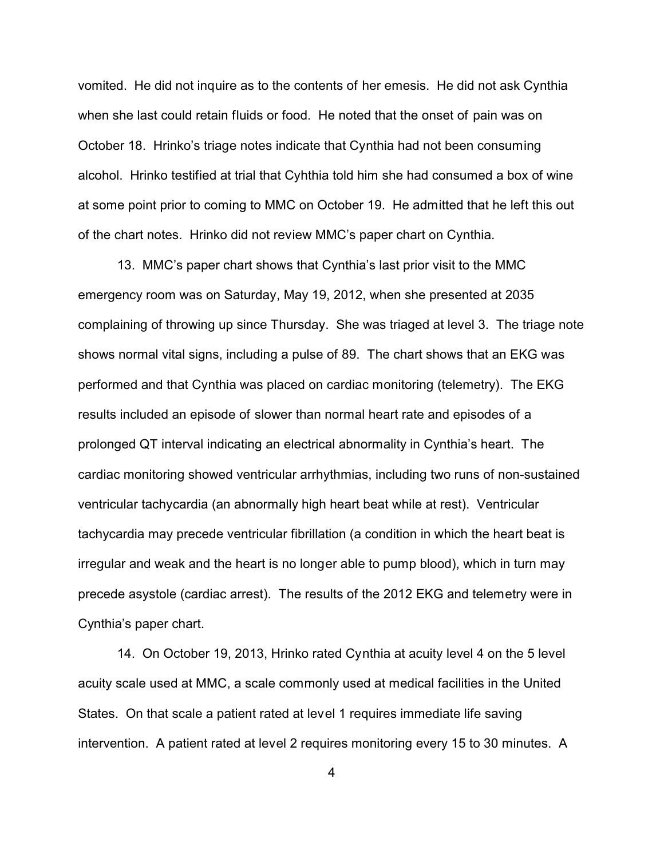vomited. He did not inquire as to the contents of her emesis. He did not ask Cynthia when she last could retain fluids or food. He noted that the onset of pain was on October 18. Hrinko's triage notes indicate that Cynthia had not been consuming alcohol. Hrinko testified at trial that Cyhthia told him she had consumed a box of wine at some point prior to coming to MMC on October 19. He admitted that he left this out of the chart notes. Hrinko did not review MMC's paper chart on Cynthia.

13. MMC's paper chart shows that Cynthia's last prior visit to the MMC emergency room was on Saturday, May 19, 2012, when she presented at 2035 complaining of throwing up since Thursday. She was triaged at level 3. The triage note shows normal vital signs, including a pulse of 89. The chart shows that an EKG was performed and that Cynthia was placed on cardiac monitoring (telemetry). The EKG results included an episode of slower than normal heart rate and episodes of a prolonged QT interval indicating an electrical abnormality in Cynthia's heart. The cardiac monitoring showed ventricular arrhythmias, including two runs of non-sustained ventricular tachycardia (an abnormally high heart beat while at rest). Ventricular tachycardia may precede ventricular fibrillation (a condition in which the heart beat is irregular and weak and the heart is no longer able to pump blood), which in turn may precede asystole (cardiac arrest). The results of the 2012 EKG and telemetry were in Cynthia's paper chart.

14. On October 19, 2013, Hrinko rated Cynthia at acuity level 4 on the 5 level acuity scale used at MMC, a scale commonly used at medical facilities in the United States. On that scale a patient rated at level 1 requires immediate life saving intervention. A patient rated at level 2 requires monitoring every 15 to 30 minutes. A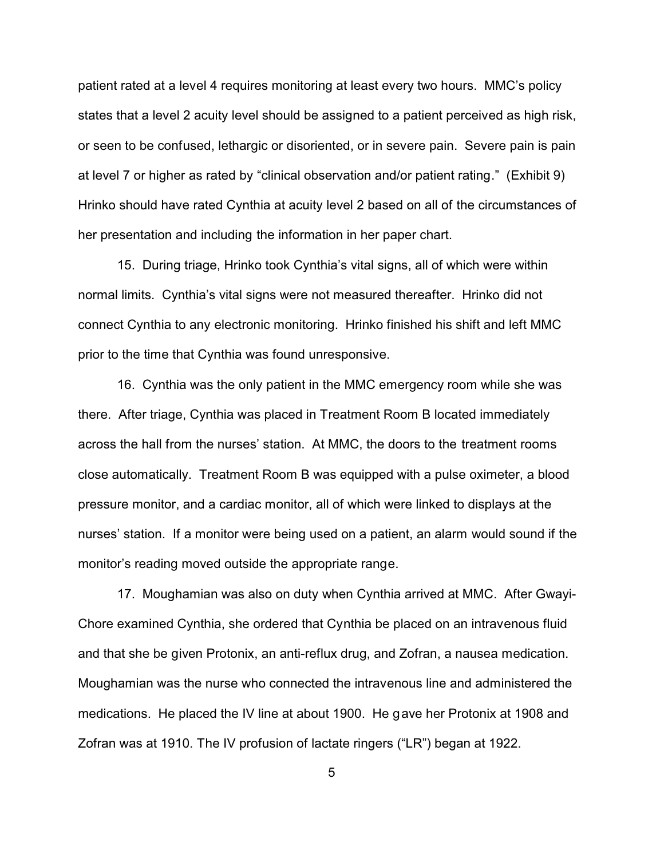patient rated at a level 4 requires monitoring at least every two hours. MMC's policy states that a level 2 acuity level should be assigned to a patient perceived as high risk, or seen to be confused, lethargic or disoriented, or in severe pain. Severe pain is pain at level 7 or higher as rated by "clinical observation and/or patient rating." (Exhibit 9) Hrinko should have rated Cynthia at acuity level 2 based on all of the circumstances of her presentation and including the information in her paper chart.

15. During triage, Hrinko took Cynthia's vital signs, all of which were within normal limits. Cynthia's vital signs were not measured thereafter. Hrinko did not connect Cynthia to any electronic monitoring. Hrinko finished his shift and left MMC prior to the time that Cynthia was found unresponsive.

16. Cynthia was the only patient in the MMC emergency room while she was there. After triage, Cynthia was placed in Treatment Room B located immediately across the hall from the nurses' station. At MMC, the doors to the treatment rooms close automatically. Treatment Room B was equipped with a pulse oximeter, a blood pressure monitor, and a cardiac monitor, all of which were linked to displays at the nurses' station. If a monitor were being used on a patient, an alarm would sound if the monitor's reading moved outside the appropriate range.

17. Moughamian was also on duty when Cynthia arrived at MMC. After Gwayi-Chore examined Cynthia, she ordered that Cynthia be placed on an intravenous fluid and that she be given Protonix, an anti-reflux drug, and Zofran, a nausea medication. Moughamian was the nurse who connected the intravenous line and administered the medications. He placed the IV line at about 1900. He gave her Protonix at 1908 and Zofran was at 1910. The IV profusion of lactate ringers ("LR") began at 1922.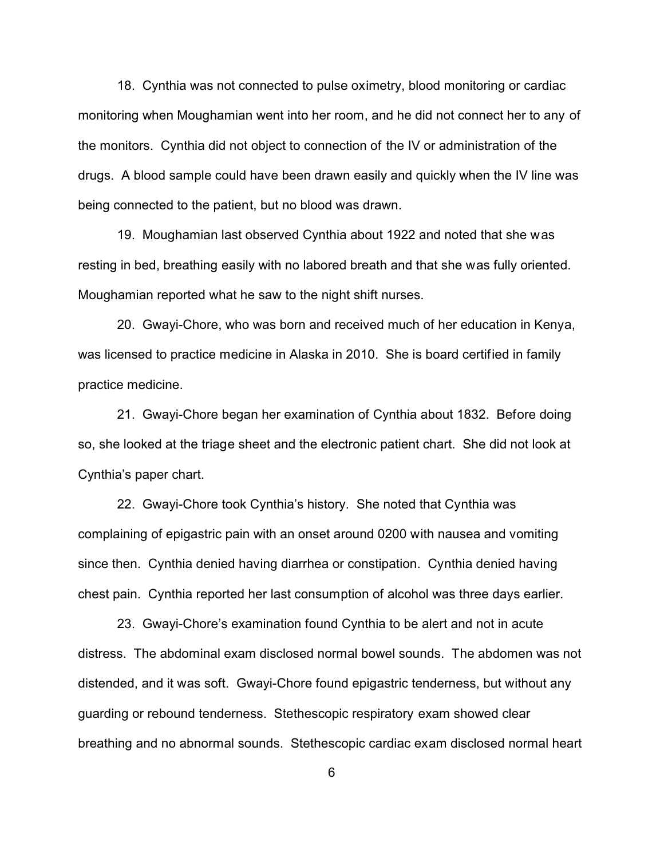18. Cynthia was not connected to pulse oximetry, blood monitoring or cardiac monitoring when Moughamian went into her room, and he did not connect her to any of the monitors. Cynthia did not object to connection of the IV or administration of the drugs. A blood sample could have been drawn easily and quickly when the IV line was being connected to the patient, but no blood was drawn.

19. Moughamian last observed Cynthia about 1922 and noted that she was resting in bed, breathing easily with no labored breath and that she was fully oriented. Moughamian reported what he saw to the night shift nurses.

20. Gwayi-Chore, who was born and received much of her education in Kenya, was licensed to practice medicine in Alaska in 2010. She is board certified in family practice medicine.

21. Gwayi-Chore began her examination of Cynthia about 1832. Before doing so, she looked at the triage sheet and the electronic patient chart. She did not look at Cynthia's paper chart.

22. Gwayi-Chore took Cynthia's history. She noted that Cynthia was complaining of epigastric pain with an onset around 0200 with nausea and vomiting since then. Cynthia denied having diarrhea or constipation. Cynthia denied having chest pain. Cynthia reported her last consumption of alcohol was three days earlier.

23. Gwayi-Chore's examination found Cynthia to be alert and not in acute distress. The abdominal exam disclosed normal bowel sounds. The abdomen was not distended, and it was soft. Gwayi-Chore found epigastric tenderness, but without any guarding or rebound tenderness. Stethescopic respiratory exam showed clear breathing and no abnormal sounds. Stethescopic cardiac exam disclosed normal heart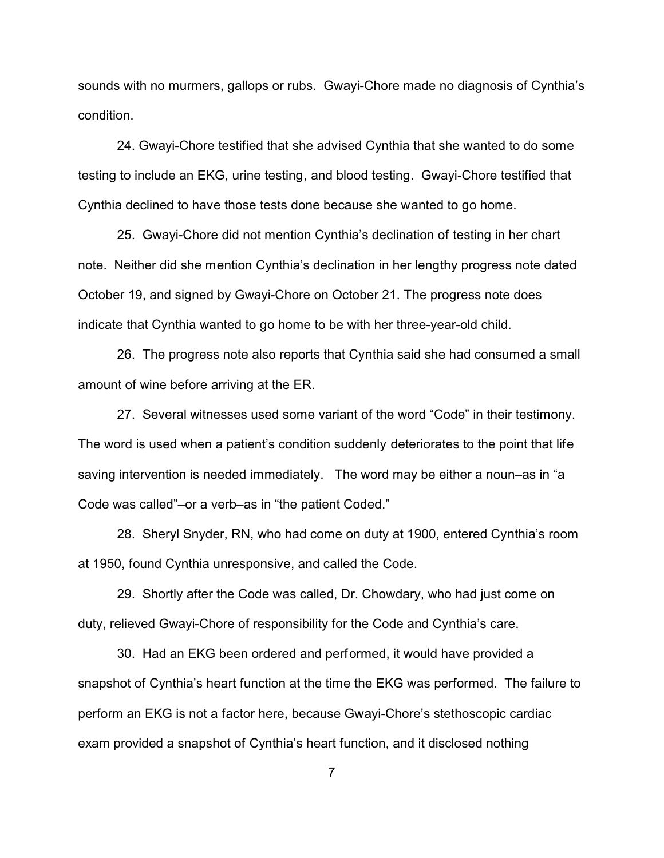sounds with no murmers, gallops or rubs. Gwayi-Chore made no diagnosis of Cynthia's condition.

24. Gwayi-Chore testified that she advised Cynthia that she wanted to do some testing to include an EKG, urine testing, and blood testing. Gwayi-Chore testified that Cynthia declined to have those tests done because she wanted to go home.

25. Gwayi-Chore did not mention Cynthia's declination of testing in her chart note. Neither did she mention Cynthia's declination in her lengthy progress note dated October 19, and signed by Gwayi-Chore on October 21. The progress note does indicate that Cynthia wanted to go home to be with her three-year-old child.

26. The progress note also reports that Cynthia said she had consumed a small amount of wine before arriving at the ER.

27. Several witnesses used some variant of the word "Code" in their testimony. The word is used when a patient's condition suddenly deteriorates to the point that life saving intervention is needed immediately. The word may be either a noun–as in "a Code was called"–or a verb–as in "the patient Coded."

28. Sheryl Snyder, RN, who had come on duty at 1900, entered Cynthia's room at 1950, found Cynthia unresponsive, and called the Code.

29. Shortly after the Code was called, Dr. Chowdary, who had just come on duty, relieved Gwayi-Chore of responsibility for the Code and Cynthia's care.

30. Had an EKG been ordered and performed, it would have provided a snapshot of Cynthia's heart function at the time the EKG was performed. The failure to perform an EKG is not a factor here, because Gwayi-Chore's stethoscopic cardiac exam provided a snapshot of Cynthia's heart function, and it disclosed nothing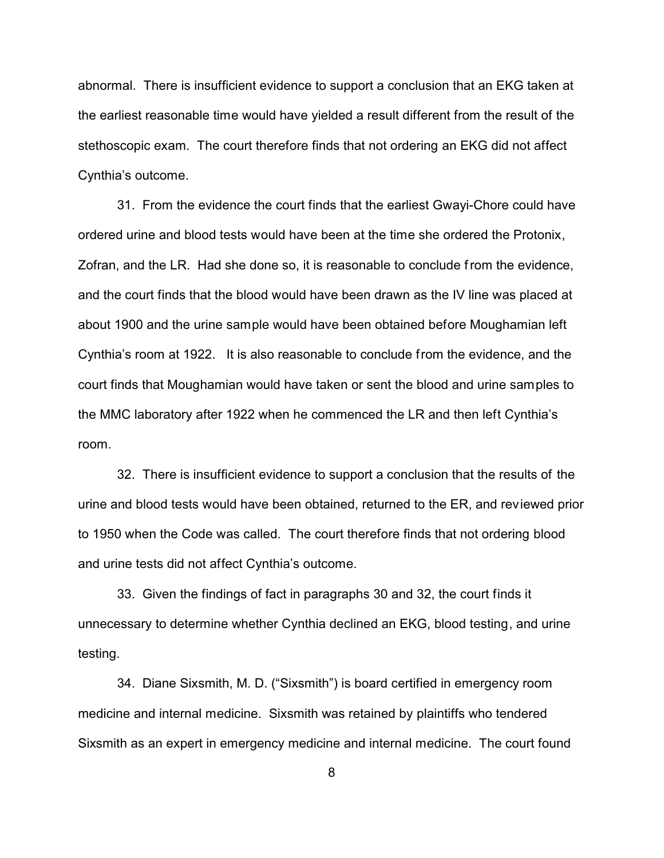abnormal. There is insufficient evidence to support a conclusion that an EKG taken at the earliest reasonable time would have yielded a result different from the result of the stethoscopic exam. The court therefore finds that not ordering an EKG did not affect Cynthia's outcome.

31. From the evidence the court finds that the earliest Gwayi-Chore could have ordered urine and blood tests would have been at the time she ordered the Protonix, Zofran, and the LR. Had she done so, it is reasonable to conclude from the evidence, and the court finds that the blood would have been drawn as the IV line was placed at about 1900 and the urine sample would have been obtained before Moughamian left Cynthia's room at 1922. It is also reasonable to conclude from the evidence, and the court finds that Moughamian would have taken or sent the blood and urine samples to the MMC laboratory after 1922 when he commenced the LR and then left Cynthia's room.

32. There is insufficient evidence to support a conclusion that the results of the urine and blood tests would have been obtained, returned to the ER, and reviewed prior to 1950 when the Code was called. The court therefore finds that not ordering blood and urine tests did not affect Cynthia's outcome.

33. Given the findings of fact in paragraphs 30 and 32, the court finds it unnecessary to determine whether Cynthia declined an EKG, blood testing, and urine testing.

34. Diane Sixsmith, M. D. ("Sixsmith") is board certified in emergency room medicine and internal medicine. Sixsmith was retained by plaintiffs who tendered Sixsmith as an expert in emergency medicine and internal medicine. The court found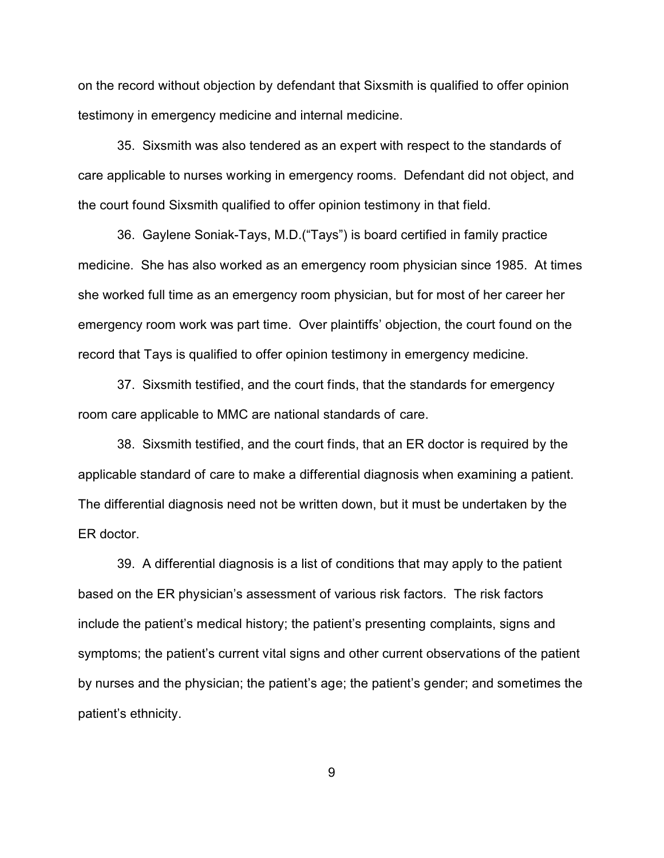on the record without objection by defendant that Sixsmith is qualified to offer opinion testimony in emergency medicine and internal medicine.

35. Sixsmith was also tendered as an expert with respect to the standards of care applicable to nurses working in emergency rooms. Defendant did not object, and the court found Sixsmith qualified to offer opinion testimony in that field.

36. Gaylene Soniak-Tays, M.D.("Tays") is board certified in family practice medicine. She has also worked as an emergency room physician since 1985. At times she worked full time as an emergency room physician, but for most of her career her emergency room work was part time. Over plaintiffs' objection, the court found on the record that Tays is qualified to offer opinion testimony in emergency medicine.

37. Sixsmith testified, and the court finds, that the standards for emergency room care applicable to MMC are national standards of care.

38. Sixsmith testified, and the court finds, that an ER doctor is required by the applicable standard of care to make a differential diagnosis when examining a patient. The differential diagnosis need not be written down, but it must be undertaken by the ER doctor.

39. A differential diagnosis is a list of conditions that may apply to the patient based on the ER physician's assessment of various risk factors. The risk factors include the patient's medical history; the patient's presenting complaints, signs and symptoms; the patient's current vital signs and other current observations of the patient by nurses and the physician; the patient's age; the patient's gender; and sometimes the patient's ethnicity.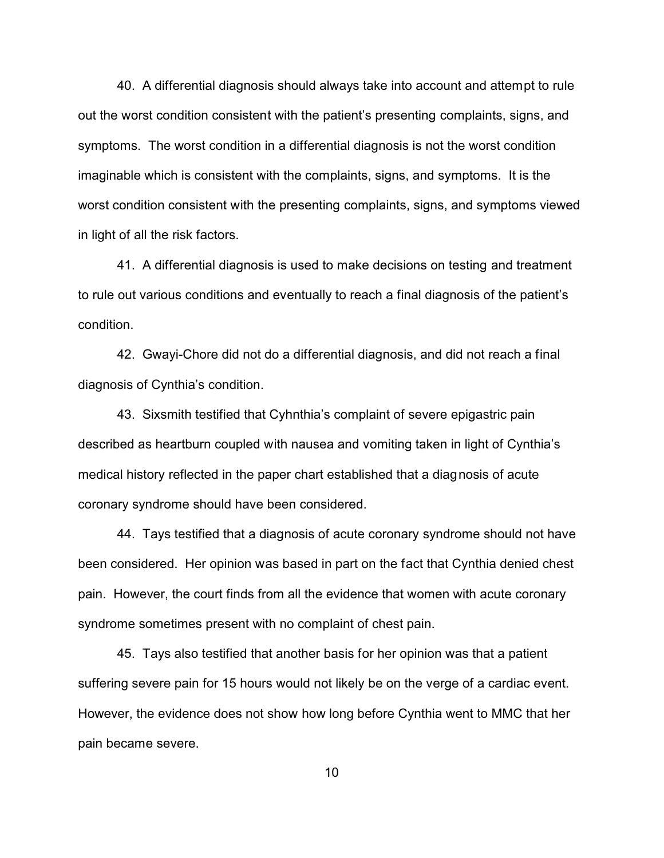40. A differential diagnosis should always take into account and attempt to rule out the worst condition consistent with the patient's presenting complaints, signs, and symptoms. The worst condition in a differential diagnosis is not the worst condition imaginable which is consistent with the complaints, signs, and symptoms. It is the worst condition consistent with the presenting complaints, signs, and symptoms viewed in light of all the risk factors.

41. A differential diagnosis is used to make decisions on testing and treatment to rule out various conditions and eventually to reach a final diagnosis of the patient's condition.

42. Gwayi-Chore did not do a differential diagnosis, and did not reach a final diagnosis of Cynthia's condition.

43. Sixsmith testified that Cyhnthia's complaint of severe epigastric pain described as heartburn coupled with nausea and vomiting taken in light of Cynthia's medical history reflected in the paper chart established that a diagnosis of acute coronary syndrome should have been considered.

44. Tays testified that a diagnosis of acute coronary syndrome should not have been considered. Her opinion was based in part on the fact that Cynthia denied chest pain. However, the court finds from all the evidence that women with acute coronary syndrome sometimes present with no complaint of chest pain.

45. Tays also testified that another basis for her opinion was that a patient suffering severe pain for 15 hours would not likely be on the verge of a cardiac event. However, the evidence does not show how long before Cynthia went to MMC that her pain became severe.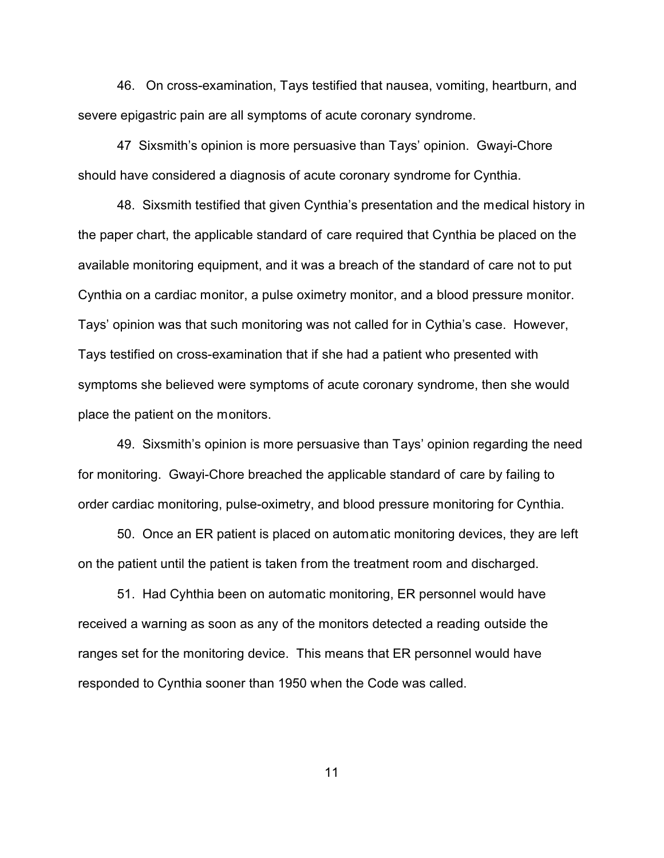46. On cross-examination, Tays testified that nausea, vomiting, heartburn, and severe epigastric pain are all symptoms of acute coronary syndrome.

47 Sixsmith's opinion is more persuasive than Tays' opinion. Gwayi-Chore should have considered a diagnosis of acute coronary syndrome for Cynthia.

48. Sixsmith testified that given Cynthia's presentation and the medical history in the paper chart, the applicable standard of care required that Cynthia be placed on the available monitoring equipment, and it was a breach of the standard of care not to put Cynthia on a cardiac monitor, a pulse oximetry monitor, and a blood pressure monitor. Tays' opinion was that such monitoring was not called for in Cythia's case. However, Tays testified on cross-examination that if she had a patient who presented with symptoms she believed were symptoms of acute coronary syndrome, then she would place the patient on the monitors.

49. Sixsmith's opinion is more persuasive than Tays' opinion regarding the need for monitoring. Gwayi-Chore breached the applicable standard of care by failing to order cardiac monitoring, pulse-oximetry, and blood pressure monitoring for Cynthia.

50. Once an ER patient is placed on automatic monitoring devices, they are left on the patient until the patient is taken from the treatment room and discharged.

51. Had Cyhthia been on automatic monitoring, ER personnel would have received a warning as soon as any of the monitors detected a reading outside the ranges set for the monitoring device. This means that ER personnel would have responded to Cynthia sooner than 1950 when the Code was called.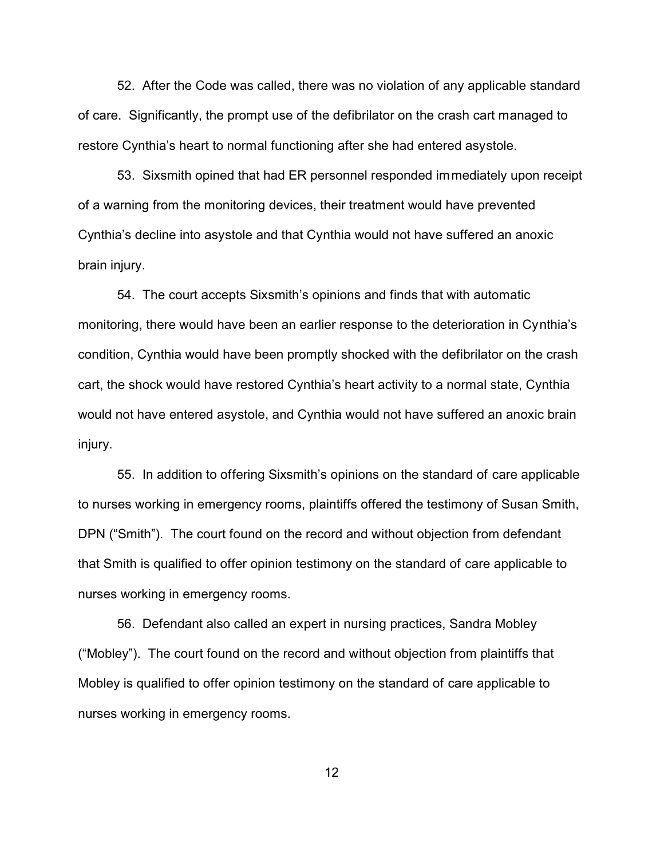52. After the Code was called, there was no violation of any applicable standard of care. Significantly, the prompt use of the defibrilator on the crash cart managed to restore Cynthia's heart to normal functioning after she had entered asystole.

53. Sixsmith opined that had ER personnel responded immediately upon receipt of a warning from the monitoring devices, their treatment would have prevented Cynthia's decline into asystole and that Cynthia would not have suffered an anoxic brain injury.

54. The court accepts Sixsmith's opinions and finds that with automatic monitoring, there would have been an earlier response to the deterioration in Cynthia's condition, Cynthia would have been promptly shocked with the defibrilator on the crash cart, the shock would have restored Cynthia's heart activity to a normal state, Cynthia would not have entered asystole, and Cynthia would not have suffered an anoxic brain injury.

55. In addition to offering Sixsmith's opinions on the standard of care applicable to nurses working in emergency rooms, plaintiffs offered the testimony of Susan Smith, DPN ("Smith"). The court found on the record and without objection from defendant that Smith is qualified to offer opinion testimony on the standard of care applicable to nurses working in emergency rooms.

56. Defendant also called an expert in nursing practices, Sandra Mobley ("Mobley"). The court found on the record and without objection from plaintiffs that Mobley is qualified to offer opinion testimony on the standard of care applicable to nurses working in emergency rooms.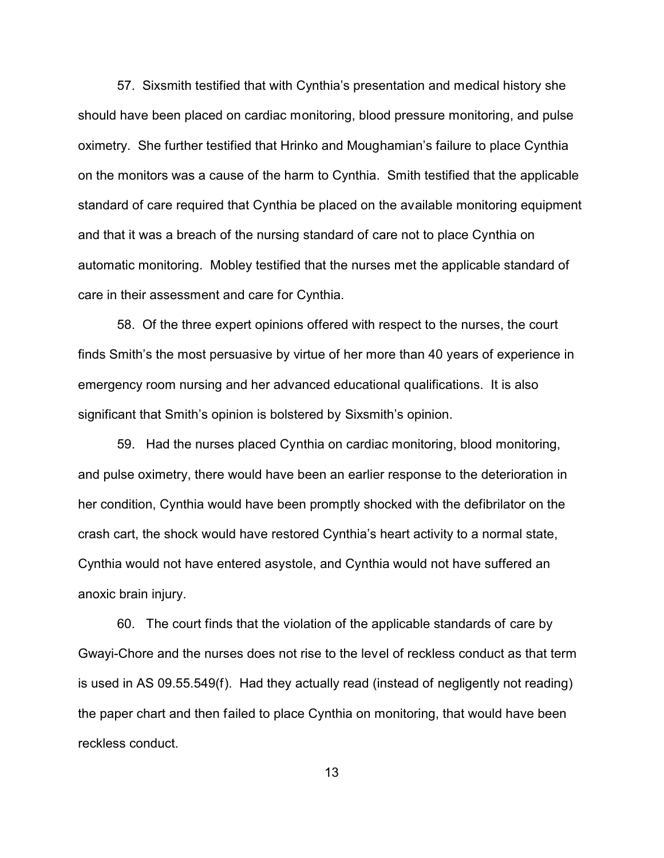57. Sixsmith testified that with Cynthia's presentation and medical history she should have been placed on cardiac monitoring, blood pressure monitoring, and pulse oximetry. She further testified that Hrinko and Moughamian's failure to place Cynthia on the monitors was a cause of the harm to Cynthia. Smith testified that the applicable standard of care required that Cynthia be placed on the available monitoring equipment and that it was a breach of the nursing standard of care not to place Cynthia on automatic monitoring. Mobley testified that the nurses met the applicable standard of care in their assessment and care for Cynthia.

58. Of the three expert opinions offered with respect to the nurses, the court finds Smith's the most persuasive by virtue of her more than 40 years of experience in emergency room nursing and her advanced educational qualifications. It is also significant that Smith's opinion is bolstered by Sixsmith's opinion.

59. Had the nurses placed Cynthia on cardiac monitoring, blood monitoring, and pulse oximetry, there would have been an earlier response to the deterioration in her condition, Cynthia would have been promptly shocked with the defibrilator on the crash cart, the shock would have restored Cynthia's heart activity to a normal state, Cynthia would not have entered asystole, and Cynthia would not have suffered an anoxic brain injury.

60. The court finds that the violation of the applicable standards of care by Gwayi-Chore and the nurses does not rise to the level of reckless conduct as that term is used in AS 09.55.549(f). Had they actually read (instead of negligently not reading) the paper chart and then failed to place Cynthia on monitoring, that would have been reckless conduct.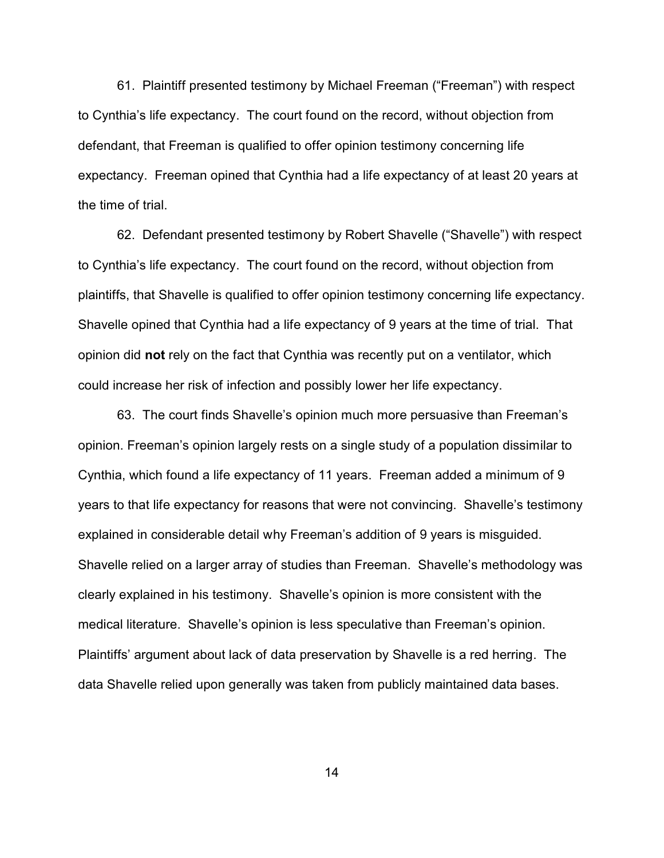61. Plaintiff presented testimony by Michael Freeman ("Freeman") with respect to Cynthia's life expectancy. The court found on the record, without objection from defendant, that Freeman is qualified to offer opinion testimony concerning life expectancy. Freeman opined that Cynthia had a life expectancy of at least 20 years at the time of trial.

62. Defendant presented testimony by Robert Shavelle ("Shavelle") with respect to Cynthia's life expectancy. The court found on the record, without objection from plaintiffs, that Shavelle is qualified to offer opinion testimony concerning life expectancy. Shavelle opined that Cynthia had a life expectancy of 9 years at the time of trial. That opinion did **not** rely on the fact that Cynthia was recently put on a ventilator, which could increase her risk of infection and possibly lower her life expectancy.

63. The court finds Shavelle's opinion much more persuasive than Freeman's opinion. Freeman's opinion largely rests on a single study of a population dissimilar to Cynthia, which found a life expectancy of 11 years. Freeman added a minimum of 9 years to that life expectancy for reasons that were not convincing. Shavelle's testimony explained in considerable detail why Freeman's addition of 9 years is misguided. Shavelle relied on a larger array of studies than Freeman. Shavelle's methodology was clearly explained in his testimony. Shavelle's opinion is more consistent with the medical literature. Shavelle's opinion is less speculative than Freeman's opinion. Plaintiffs' argument about lack of data preservation by Shavelle is a red herring. The data Shavelle relied upon generally was taken from publicly maintained data bases.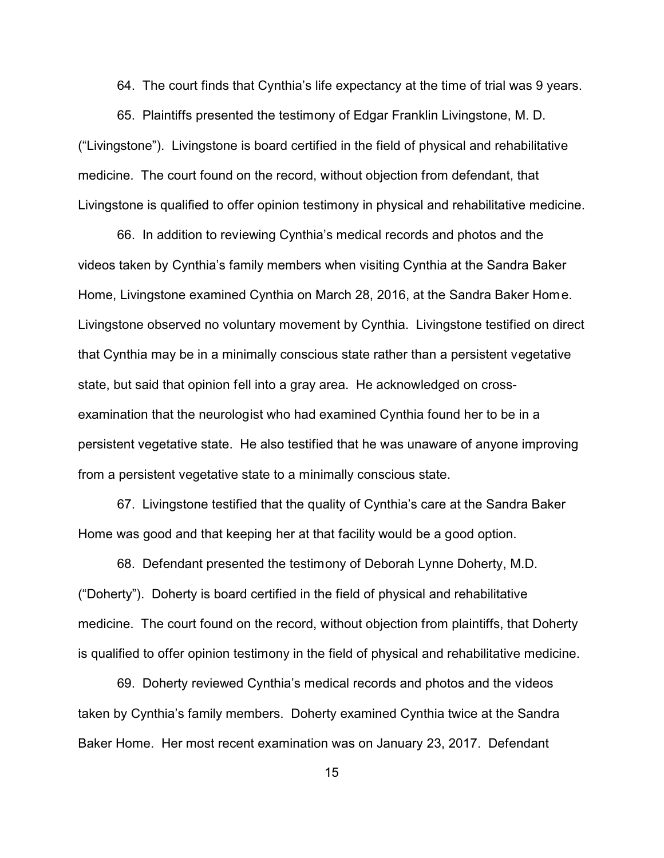64. The court finds that Cynthia's life expectancy at the time of trial was 9 years.

65. Plaintiffs presented the testimony of Edgar Franklin Livingstone, M. D. ("Livingstone"). Livingstone is board certified in the field of physical and rehabilitative medicine. The court found on the record, without objection from defendant, that Livingstone is qualified to offer opinion testimony in physical and rehabilitative medicine.

66. In addition to reviewing Cynthia's medical records and photos and the videos taken by Cynthia's family members when visiting Cynthia at the Sandra Baker Home, Livingstone examined Cynthia on March 28, 2016, at the Sandra Baker Home. Livingstone observed no voluntary movement by Cynthia. Livingstone testified on direct that Cynthia may be in a minimally conscious state rather than a persistent vegetative state, but said that opinion fell into a gray area. He acknowledged on crossexamination that the neurologist who had examined Cynthia found her to be in a persistent vegetative state. He also testified that he was unaware of anyone improving from a persistent vegetative state to a minimally conscious state.

67. Livingstone testified that the quality of Cynthia's care at the Sandra Baker Home was good and that keeping her at that facility would be a good option.

68. Defendant presented the testimony of Deborah Lynne Doherty, M.D. ("Doherty"). Doherty is board certified in the field of physical and rehabilitative medicine. The court found on the record, without objection from plaintiffs, that Doherty is qualified to offer opinion testimony in the field of physical and rehabilitative medicine.

69. Doherty reviewed Cynthia's medical records and photos and the videos taken by Cynthia's family members. Doherty examined Cynthia twice at the Sandra Baker Home. Her most recent examination was on January 23, 2017. Defendant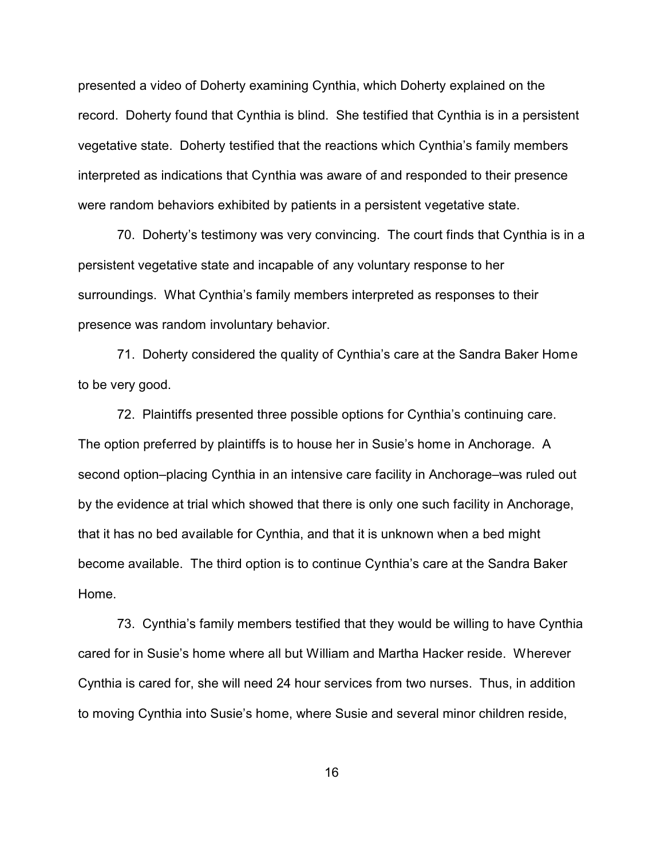presented a video of Doherty examining Cynthia, which Doherty explained on the record. Doherty found that Cynthia is blind. She testified that Cynthia is in a persistent vegetative state. Doherty testified that the reactions which Cynthia's family members interpreted as indications that Cynthia was aware of and responded to their presence were random behaviors exhibited by patients in a persistent vegetative state.

70. Doherty's testimony was very convincing. The court finds that Cynthia is in a persistent vegetative state and incapable of any voluntary response to her surroundings. What Cynthia's family members interpreted as responses to their presence was random involuntary behavior.

71. Doherty considered the quality of Cynthia's care at the Sandra Baker Home to be very good.

72. Plaintiffs presented three possible options for Cynthia's continuing care. The option preferred by plaintiffs is to house her in Susie's home in Anchorage. A second option–placing Cynthia in an intensive care facility in Anchorage–was ruled out by the evidence at trial which showed that there is only one such facility in Anchorage, that it has no bed available for Cynthia, and that it is unknown when a bed might become available. The third option is to continue Cynthia's care at the Sandra Baker Home.

73. Cynthia's family members testified that they would be willing to have Cynthia cared for in Susie's home where all but William and Martha Hacker reside. Wherever Cynthia is cared for, she will need 24 hour services from two nurses. Thus, in addition to moving Cynthia into Susie's home, where Susie and several minor children reside,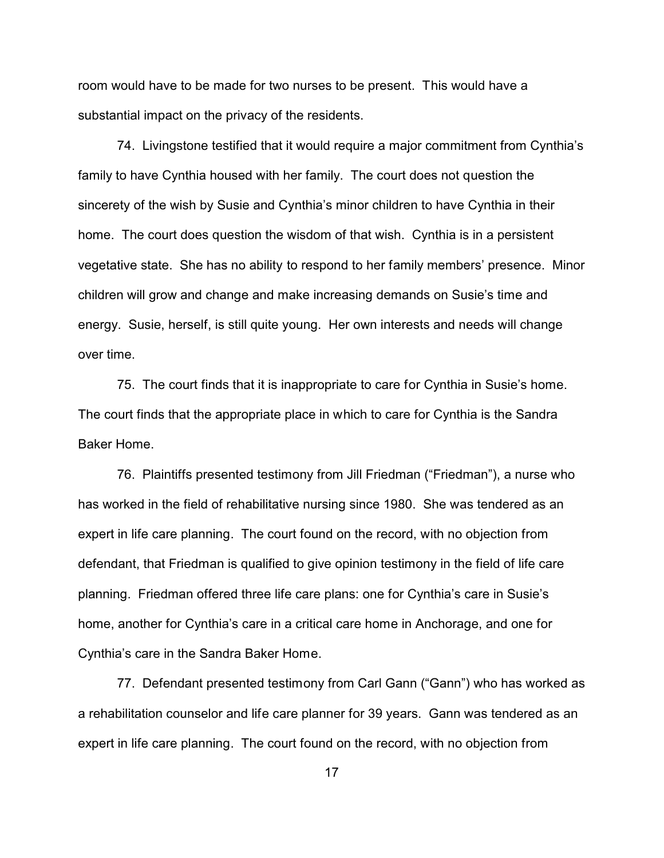room would have to be made for two nurses to be present. This would have a substantial impact on the privacy of the residents.

74. Livingstone testified that it would require a major commitment from Cynthia's family to have Cynthia housed with her family. The court does not question the sincerety of the wish by Susie and Cynthia's minor children to have Cynthia in their home. The court does question the wisdom of that wish. Cynthia is in a persistent vegetative state. She has no ability to respond to her family members' presence. Minor children will grow and change and make increasing demands on Susie's time and energy. Susie, herself, is still quite young. Her own interests and needs will change over time.

75. The court finds that it is inappropriate to care for Cynthia in Susie's home. The court finds that the appropriate place in which to care for Cynthia is the Sandra Baker Home.

76. Plaintiffs presented testimony from Jill Friedman ("Friedman"), a nurse who has worked in the field of rehabilitative nursing since 1980. She was tendered as an expert in life care planning. The court found on the record, with no objection from defendant, that Friedman is qualified to give opinion testimony in the field of life care planning. Friedman offered three life care plans: one for Cynthia's care in Susie's home, another for Cynthia's care in a critical care home in Anchorage, and one for Cynthia's care in the Sandra Baker Home.

77. Defendant presented testimony from Carl Gann ("Gann") who has worked as a rehabilitation counselor and life care planner for 39 years. Gann was tendered as an expert in life care planning. The court found on the record, with no objection from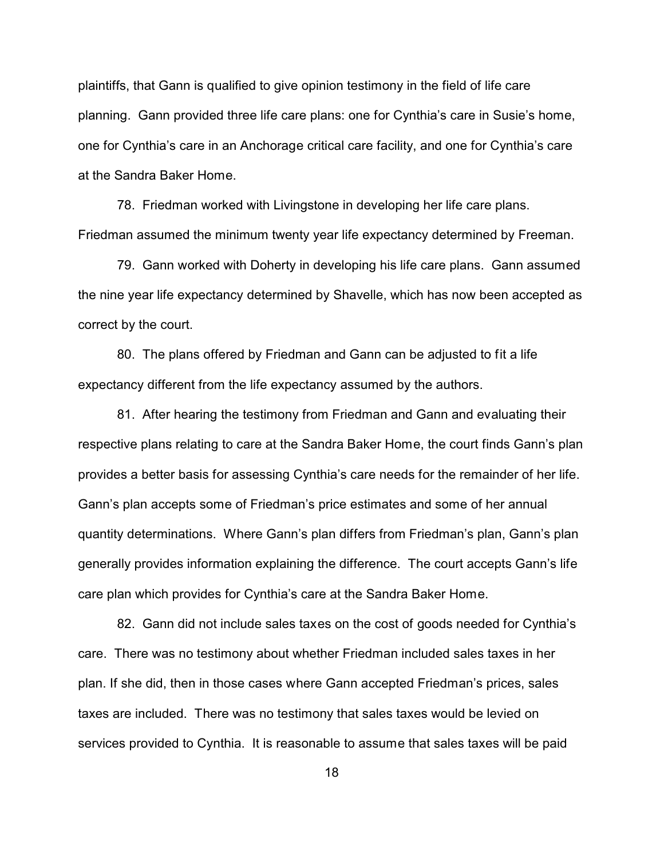plaintiffs, that Gann is qualified to give opinion testimony in the field of life care planning. Gann provided three life care plans: one for Cynthia's care in Susie's home, one for Cynthia's care in an Anchorage critical care facility, and one for Cynthia's care at the Sandra Baker Home.

78. Friedman worked with Livingstone in developing her life care plans. Friedman assumed the minimum twenty year life expectancy determined by Freeman.

79. Gann worked with Doherty in developing his life care plans. Gann assumed the nine year life expectancy determined by Shavelle, which has now been accepted as correct by the court.

80. The plans offered by Friedman and Gann can be adjusted to fit a life expectancy different from the life expectancy assumed by the authors.

81. After hearing the testimony from Friedman and Gann and evaluating their respective plans relating to care at the Sandra Baker Home, the court finds Gann's plan provides a better basis for assessing Cynthia's care needs for the remainder of her life. Gann's plan accepts some of Friedman's price estimates and some of her annual quantity determinations. Where Gann's plan differs from Friedman's plan, Gann's plan generally provides information explaining the difference. The court accepts Gann's life care plan which provides for Cynthia's care at the Sandra Baker Home.

82. Gann did not include sales taxes on the cost of goods needed for Cynthia's care. There was no testimony about whether Friedman included sales taxes in her plan. If she did, then in those cases where Gann accepted Friedman's prices, sales taxes are included. There was no testimony that sales taxes would be levied on services provided to Cynthia. It is reasonable to assume that sales taxes will be paid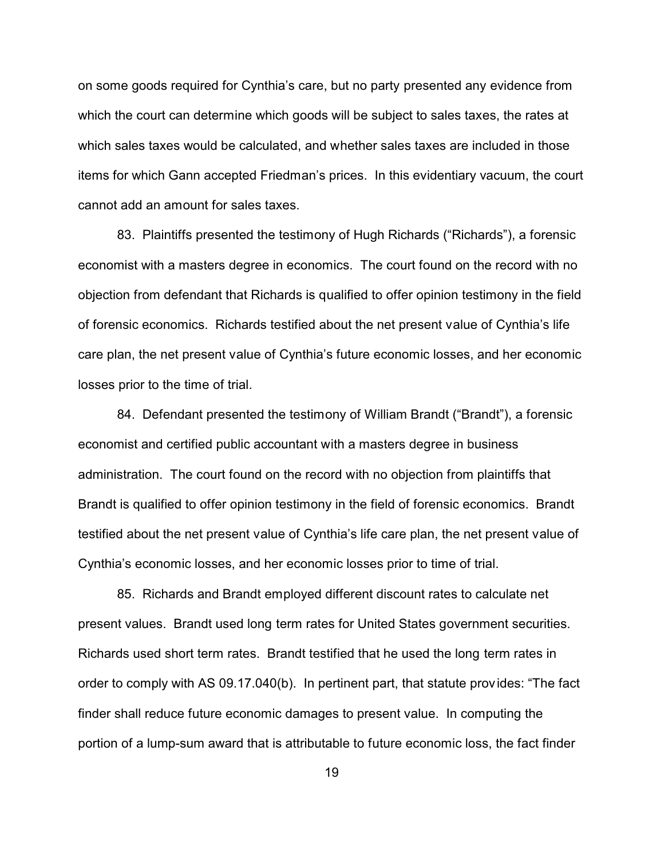on some goods required for Cynthia's care, but no party presented any evidence from which the court can determine which goods will be subject to sales taxes, the rates at which sales taxes would be calculated, and whether sales taxes are included in those items for which Gann accepted Friedman's prices. In this evidentiary vacuum, the court cannot add an amount for sales taxes.

83. Plaintiffs presented the testimony of Hugh Richards ("Richards"), a forensic economist with a masters degree in economics. The court found on the record with no objection from defendant that Richards is qualified to offer opinion testimony in the field of forensic economics. Richards testified about the net present value of Cynthia's life care plan, the net present value of Cynthia's future economic losses, and her economic losses prior to the time of trial.

84. Defendant presented the testimony of William Brandt ("Brandt"), a forensic economist and certified public accountant with a masters degree in business administration. The court found on the record with no objection from plaintiffs that Brandt is qualified to offer opinion testimony in the field of forensic economics. Brandt testified about the net present value of Cynthia's life care plan, the net present value of Cynthia's economic losses, and her economic losses prior to time of trial.

85. Richards and Brandt employed different discount rates to calculate net present values. Brandt used long term rates for United States government securities. Richards used short term rates. Brandt testified that he used the long term rates in order to comply with AS 09.17.040(b). In pertinent part, that statute provides: "The fact finder shall reduce future economic damages to present value. In computing the portion of a lump-sum award that is attributable to future economic loss, the fact finder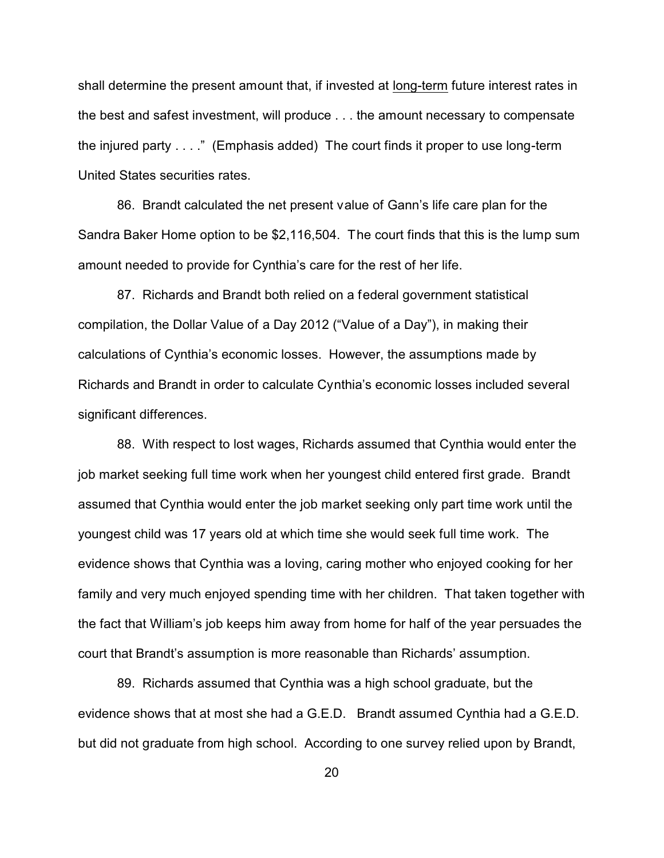shall determine the present amount that, if invested at long-term future interest rates in the best and safest investment, will produce . . . the amount necessary to compensate the injured party . . . ." (Emphasis added) The court finds it proper to use long-term United States securities rates.

86. Brandt calculated the net present value of Gann's life care plan for the Sandra Baker Home option to be \$2,116,504. The court finds that this is the lump sum amount needed to provide for Cynthia's care for the rest of her life.

87. Richards and Brandt both relied on a federal government statistical compilation, the Dollar Value of a Day 2012 ("Value of a Day"), in making their calculations of Cynthia's economic losses. However, the assumptions made by Richards and Brandt in order to calculate Cynthia's economic losses included several significant differences.

88. With respect to lost wages, Richards assumed that Cynthia would enter the job market seeking full time work when her youngest child entered first grade. Brandt assumed that Cynthia would enter the job market seeking only part time work until the youngest child was 17 years old at which time she would seek full time work. The evidence shows that Cynthia was a loving, caring mother who enjoyed cooking for her family and very much enjoyed spending time with her children. That taken together with the fact that William's job keeps him away from home for half of the year persuades the court that Brandt's assumption is more reasonable than Richards' assumption.

89. Richards assumed that Cynthia was a high school graduate, but the evidence shows that at most she had a G.E.D. Brandt assumed Cynthia had a G.E.D. but did not graduate from high school. According to one survey relied upon by Brandt,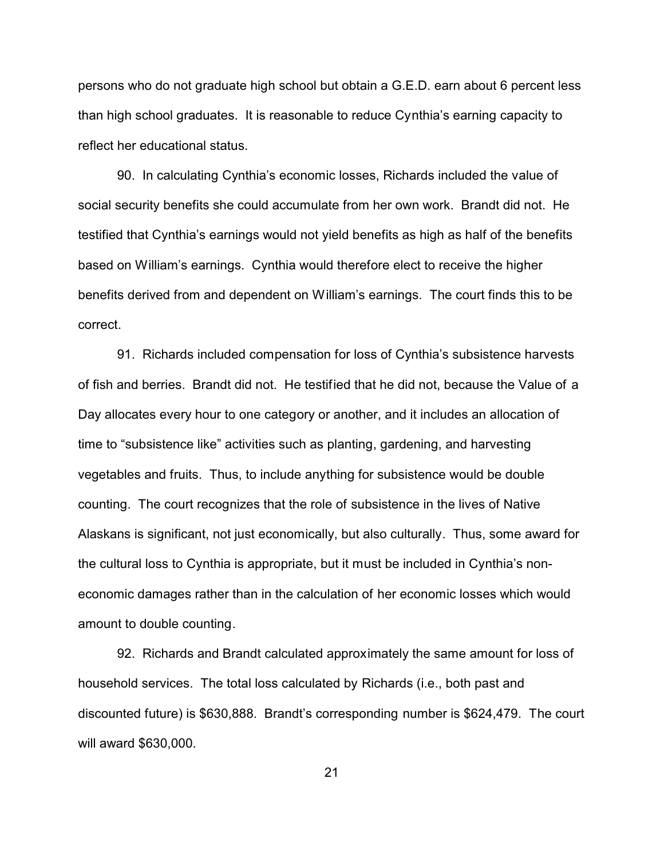persons who do not graduate high school but obtain a G.E.D. earn about 6 percent less than high school graduates. It is reasonable to reduce Cynthia's earning capacity to reflect her educational status.

90. In calculating Cynthia's economic losses, Richards included the value of social security benefits she could accumulate from her own work. Brandt did not. He testified that Cynthia's earnings would not yield benefits as high as half of the benefits based on William's earnings. Cynthia would therefore elect to receive the higher benefits derived from and dependent on William's earnings. The court finds this to be correct.

91. Richards included compensation for loss of Cynthia's subsistence harvests of fish and berries. Brandt did not. He testified that he did not, because the Value of a Day allocates every hour to one category or another, and it includes an allocation of time to "subsistence like" activities such as planting, gardening, and harvesting vegetables and fruits. Thus, to include anything for subsistence would be double counting. The court recognizes that the role of subsistence in the lives of Native Alaskans is significant, not just economically, but also culturally. Thus, some award for the cultural loss to Cynthia is appropriate, but it must be included in Cynthia's noneconomic damages rather than in the calculation of her economic losses which would amount to double counting.

92. Richards and Brandt calculated approximately the same amount for loss of household services. The total loss calculated by Richards (i.e., both past and discounted future) is \$630,888. Brandt's corresponding number is \$624,479. The court will award \$630,000.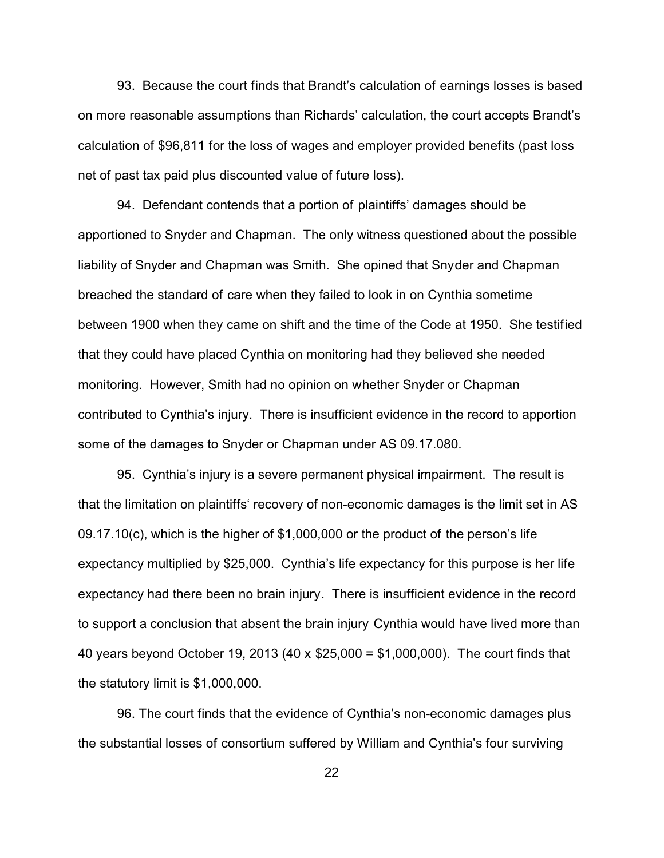93. Because the court finds that Brandt's calculation of earnings losses is based on more reasonable assumptions than Richards' calculation, the court accepts Brandt's calculation of \$96,811 for the loss of wages and employer provided benefits (past loss net of past tax paid plus discounted value of future loss).

94. Defendant contends that a portion of plaintiffs' damages should be apportioned to Snyder and Chapman. The only witness questioned about the possible liability of Snyder and Chapman was Smith. She opined that Snyder and Chapman breached the standard of care when they failed to look in on Cynthia sometime between 1900 when they came on shift and the time of the Code at 1950. She testified that they could have placed Cynthia on monitoring had they believed she needed monitoring. However, Smith had no opinion on whether Snyder or Chapman contributed to Cynthia's injury. There is insufficient evidence in the record to apportion some of the damages to Snyder or Chapman under AS 09.17.080.

95. Cynthia's injury is a severe permanent physical impairment. The result is that the limitation on plaintiffs' recovery of non-economic damages is the limit set in AS 09.17.10(c), which is the higher of \$1,000,000 or the product of the person's life expectancy multiplied by \$25,000. Cynthia's life expectancy for this purpose is her life expectancy had there been no brain injury. There is insufficient evidence in the record to support a conclusion that absent the brain injury Cynthia would have lived more than 40 years beyond October 19, 2013 (40 x \$25,000 = \$1,000,000). The court finds that the statutory limit is \$1,000,000.

96. The court finds that the evidence of Cynthia's non-economic damages plus the substantial losses of consortium suffered by William and Cynthia's four surviving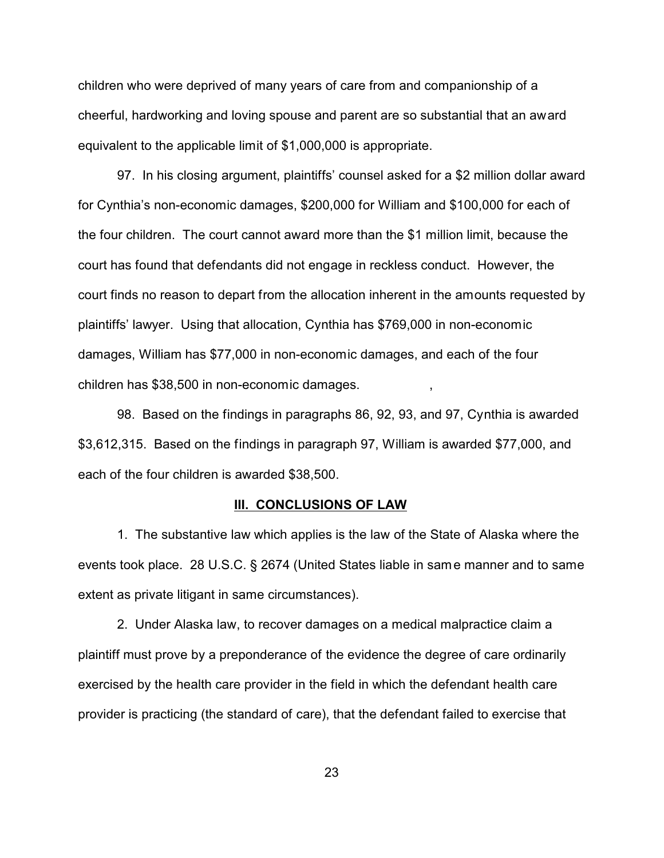children who were deprived of many years of care from and companionship of a cheerful, hardworking and loving spouse and parent are so substantial that an award equivalent to the applicable limit of \$1,000,000 is appropriate.

97. In his closing argument, plaintiffs' counsel asked for a \$2 million dollar award for Cynthia's non-economic damages, \$200,000 for William and \$100,000 for each of the four children. The court cannot award more than the \$1 million limit, because the court has found that defendants did not engage in reckless conduct. However, the court finds no reason to depart from the allocation inherent in the amounts requested by plaintiffs' lawyer. Using that allocation, Cynthia has \$769,000 in non-economic damages, William has \$77,000 in non-economic damages, and each of the four children has \$38,500 in non-economic damages. ,

98. Based on the findings in paragraphs 86, 92, 93, and 97, Cynthia is awarded \$3,612,315. Based on the findings in paragraph 97, William is awarded \$77,000, and each of the four children is awarded \$38,500.

### **III. CONCLUSIONS OF LAW**

1. The substantive law which applies is the law of the State of Alaska where the events took place. 28 U.S.C. § 2674 (United States liable in same manner and to same extent as private litigant in same circumstances).

2. Under Alaska law, to recover damages on a medical malpractice claim a plaintiff must prove by a preponderance of the evidence the degree of care ordinarily exercised by the health care provider in the field in which the defendant health care provider is practicing (the standard of care), that the defendant failed to exercise that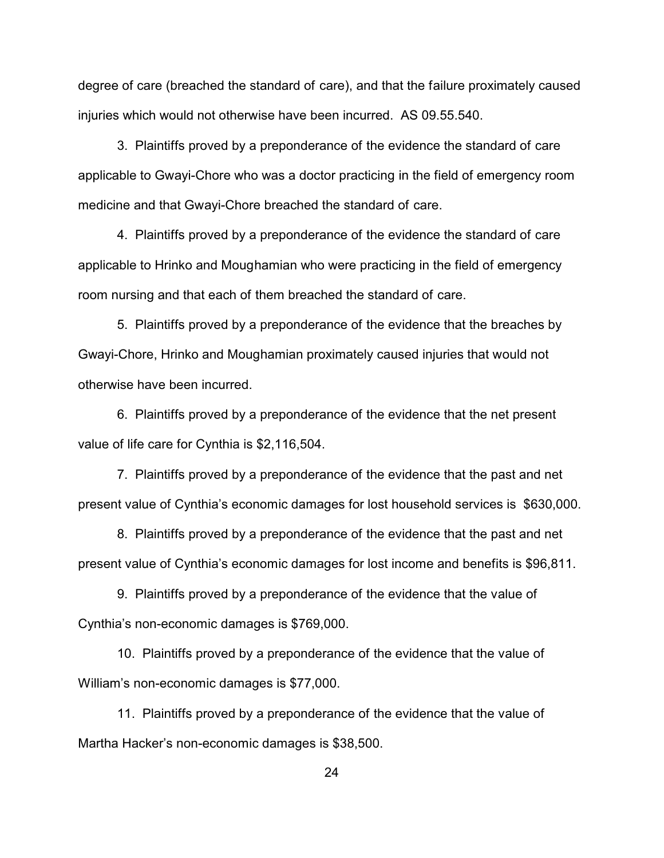degree of care (breached the standard of care), and that the failure proximately caused injuries which would not otherwise have been incurred. AS 09.55.540.

3. Plaintiffs proved by a preponderance of the evidence the standard of care applicable to Gwayi-Chore who was a doctor practicing in the field of emergency room medicine and that Gwayi-Chore breached the standard of care.

4. Plaintiffs proved by a preponderance of the evidence the standard of care applicable to Hrinko and Moughamian who were practicing in the field of emergency room nursing and that each of them breached the standard of care.

5. Plaintiffs proved by a preponderance of the evidence that the breaches by Gwayi-Chore, Hrinko and Moughamian proximately caused injuries that would not otherwise have been incurred.

6. Plaintiffs proved by a preponderance of the evidence that the net present value of life care for Cynthia is \$2,116,504.

7. Plaintiffs proved by a preponderance of the evidence that the past and net present value of Cynthia's economic damages for lost household services is \$630,000.

8. Plaintiffs proved by a preponderance of the evidence that the past and net present value of Cynthia's economic damages for lost income and benefits is \$96,811.

9. Plaintiffs proved by a preponderance of the evidence that the value of Cynthia's non-economic damages is \$769,000.

10. Plaintiffs proved by a preponderance of the evidence that the value of William's non-economic damages is \$77,000.

11. Plaintiffs proved by a preponderance of the evidence that the value of Martha Hacker's non-economic damages is \$38,500.